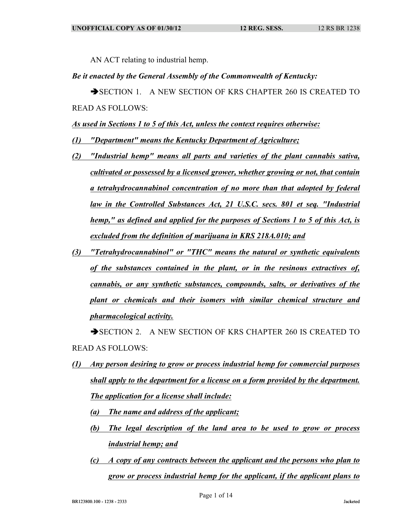AN ACT relating to industrial hemp.

## *Be it enacted by the General Assembly of the Commonwealth of Kentucky:*

SECTION 1. A NEW SECTION OF KRS CHAPTER 260 IS CREATED TO READ AS FOLLOWS:

*As used in Sections 1 to 5 of this Act, unless the context requires otherwise:*

- *(1) "Department" means the Kentucky Department of Agriculture;*
- *(2) "Industrial hemp" means all parts and varieties of the plant cannabis sativa, cultivated or possessed by a licensed grower, whether growing or not, that contain a tetrahydrocannabinol concentration of no more than that adopted by federal law in the Controlled Substances Act, 21 U.S.C. secs. 801 et seq. "Industrial hemp," as defined and applied for the purposes of Sections 1 to 5 of this Act, is excluded from the definition of marijuana in KRS 218A.010; and*
- *(3) "Tetrahydrocannabinol" or "THC" means the natural or synthetic equivalents of the substances contained in the plant, or in the resinous extractives of, cannabis, or any synthetic substances, compounds, salts, or derivatives of the plant or chemicals and their isomers with similar chemical structure and pharmacological activity.*

SECTION 2. A NEW SECTION OF KRS CHAPTER 260 IS CREATED TO READ AS FOLLOWS:

- *(1) Any person desiring to grow or process industrial hemp for commercial purposes shall apply to the department for a license on a form provided by the department. The application for a license shall include:*
	- *(a) The name and address of the applicant;*
	- *(b) The legal description of the land area to be used to grow or process industrial hemp; and*
	- *(c) A copy of any contracts between the applicant and the persons who plan to grow or process industrial hemp for the applicant, if the applicant plans to*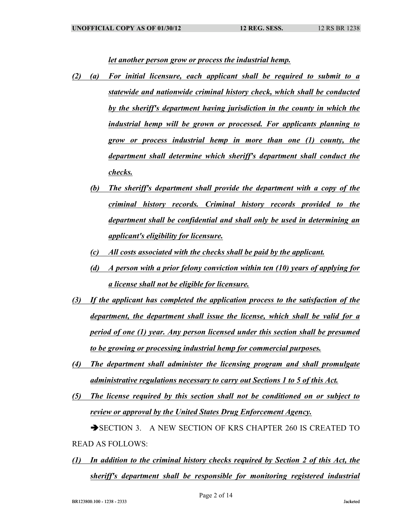*let another person grow or process the industrial hemp.*

- *(2) (a) For initial licensure, each applicant shall be required to submit to a statewide and nationwide criminal history check, which shall be conducted by the sheriff's department having jurisdiction in the county in which the industrial hemp will be grown or processed. For applicants planning to grow or process industrial hemp in more than one (1) county, the department shall determine which sheriff's department shall conduct the checks.*
	- *(b) The sheriff's department shall provide the department with a copy of the criminal history records. Criminal history records provided to the department shall be confidential and shall only be used in determining an applicant's eligibility for licensure.*
	- *(c) All costs associated with the checks shall be paid by the applicant.*
	- *(d) A person with a prior felony conviction within ten (10) years of applying for a license shall not be eligible for licensure.*
- *(3) If the applicant has completed the application process to the satisfaction of the department, the department shall issue the license, which shall be valid for a period of one (1) year. Any person licensed under this section shall be presumed to be growing or processing industrial hemp for commercial purposes.*
- *(4) The department shall administer the licensing program and shall promulgate administrative regulations necessary to carry out Sections 1 to 5 of this Act.*
- *(5) The license required by this section shall not be conditioned on or subject to review or approval by the United States Drug Enforcement Agency.* SECTION 3. A NEW SECTION OF KRS CHAPTER 260 IS CREATED TO

READ AS FOLLOWS:

*(1) In addition to the criminal history checks required by Section 2 of this Act, the sheriff's department shall be responsible for monitoring registered industrial*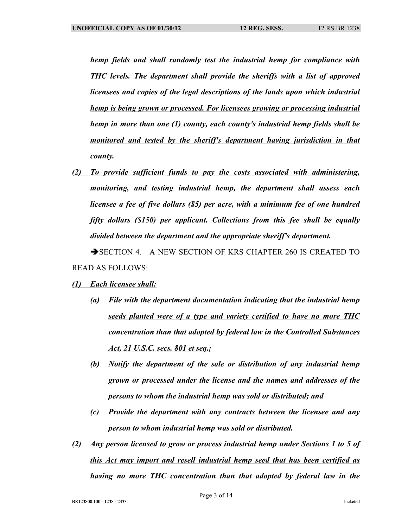*hemp fields and shall randomly test the industrial hemp for compliance with THC levels. The department shall provide the sheriffs with a list of approved licensees and copies of the legal descriptions of the lands upon which industrial hemp is being grown or processed. For licensees growing or processing industrial hemp in more than one (1) county, each county's industrial hemp fields shall be monitored and tested by the sheriff's department having jurisdiction in that county.*

*(2) To provide sufficient funds to pay the costs associated with administering, monitoring, and testing industrial hemp, the department shall assess each licensee a fee of five dollars (\$5) per acre, with a minimum fee of one hundred fifty dollars (\$150) per applicant. Collections from this fee shall be equally divided between the department and the appropriate sheriff's department.*

SECTION 4. A NEW SECTION OF KRS CHAPTER 260 IS CREATED TO READ AS FOLLOWS:

- *(1) Each licensee shall:*
	- *(a) File with the department documentation indicating that the industrial hemp seeds planted were of a type and variety certified to have no more THC concentration than that adopted by federal law in the Controlled Substances Act, 21 U.S.C. secs. 801 et seq.;*
	- *(b) Notify the department of the sale or distribution of any industrial hemp grown or processed under the license and the names and addresses of the persons to whom the industrial hemp was sold or distributed; and*
	- *(c) Provide the department with any contracts between the licensee and any person to whom industrial hemp was sold or distributed.*
- *(2) Any person licensed to grow or process industrial hemp under Sections 1 to 5 of this Act may import and resell industrial hemp seed that has been certified as having no more THC concentration than that adopted by federal law in the*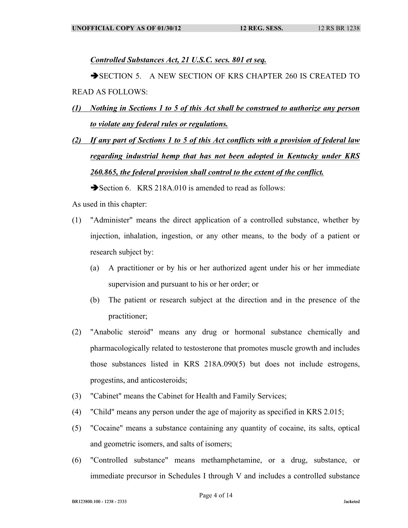*Controlled Substances Act, 21 U.S.C. secs. 801 et seq.*

SECTION 5. A NEW SECTION OF KRS CHAPTER 260 IS CREATED TO READ AS FOLLOWS:

- *(1) Nothing in Sections 1 to 5 of this Act shall be construed to authorize any person to violate any federal rules or regulations.*
- *(2) If any part of Sections 1 to 5 of this Act conflicts with a provision of federal law regarding industrial hemp that has not been adopted in Kentucky under KRS 260.865, the federal provision shall control to the extent of the conflict.*

Section 6. KRS 218A.010 is amended to read as follows:

As used in this chapter:

- (1) "Administer" means the direct application of a controlled substance, whether by injection, inhalation, ingestion, or any other means, to the body of a patient or research subject by:
	- (a) A practitioner or by his or her authorized agent under his or her immediate supervision and pursuant to his or her order; or
	- (b) The patient or research subject at the direction and in the presence of the practitioner;
- (2) "Anabolic steroid" means any drug or hormonal substance chemically and pharmacologically related to testosterone that promotes muscle growth and includes those substances listed in KRS 218A.090(5) but does not include estrogens, progestins, and anticosteroids;
- (3) "Cabinet" means the Cabinet for Health and Family Services;
- (4) "Child" means any person under the age of majority as specified in KRS 2.015;
- (5) "Cocaine" means a substance containing any quantity of cocaine, its salts, optical and geometric isomers, and salts of isomers;
- (6) "Controlled substance" means methamphetamine, or a drug, substance, or immediate precursor in Schedules I through V and includes a controlled substance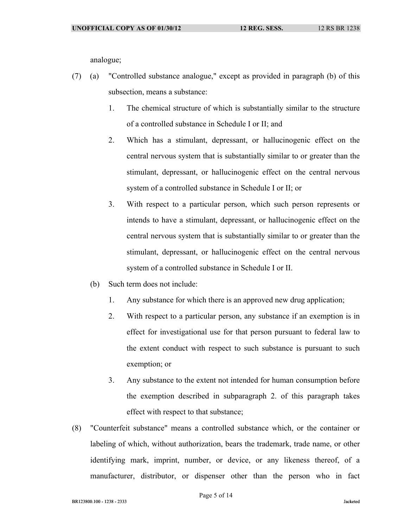analogue;

- (7) (a) "Controlled substance analogue," except as provided in paragraph (b) of this subsection, means a substance:
	- 1. The chemical structure of which is substantially similar to the structure of a controlled substance in Schedule I or II; and
	- 2. Which has a stimulant, depressant, or hallucinogenic effect on the central nervous system that is substantially similar to or greater than the stimulant, depressant, or hallucinogenic effect on the central nervous system of a controlled substance in Schedule I or II; or
	- 3. With respect to a particular person, which such person represents or intends to have a stimulant, depressant, or hallucinogenic effect on the central nervous system that is substantially similar to or greater than the stimulant, depressant, or hallucinogenic effect on the central nervous system of a controlled substance in Schedule I or II.
	- (b) Such term does not include:
		- 1. Any substance for which there is an approved new drug application;
		- 2. With respect to a particular person, any substance if an exemption is in effect for investigational use for that person pursuant to federal law to the extent conduct with respect to such substance is pursuant to such exemption; or
		- 3. Any substance to the extent not intended for human consumption before the exemption described in subparagraph 2. of this paragraph takes effect with respect to that substance;
- (8) "Counterfeit substance" means a controlled substance which, or the container or labeling of which, without authorization, bears the trademark, trade name, or other identifying mark, imprint, number, or device, or any likeness thereof, of a manufacturer, distributor, or dispenser other than the person who in fact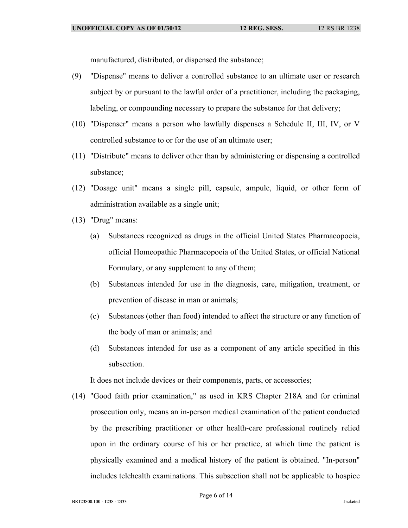manufactured, distributed, or dispensed the substance;

- (9) "Dispense" means to deliver a controlled substance to an ultimate user or research subject by or pursuant to the lawful order of a practitioner, including the packaging, labeling, or compounding necessary to prepare the substance for that delivery;
- (10) "Dispenser" means a person who lawfully dispenses a Schedule II, III, IV, or V controlled substance to or for the use of an ultimate user;
- (11) "Distribute" means to deliver other than by administering or dispensing a controlled substance;
- (12) "Dosage unit" means a single pill, capsule, ampule, liquid, or other form of administration available as a single unit;
- (13) "Drug" means:
	- (a) Substances recognized as drugs in the official United States Pharmacopoeia, official Homeopathic Pharmacopoeia of the United States, or official National Formulary, or any supplement to any of them;
	- (b) Substances intended for use in the diagnosis, care, mitigation, treatment, or prevention of disease in man or animals;
	- (c) Substances (other than food) intended to affect the structure or any function of the body of man or animals; and
	- (d) Substances intended for use as a component of any article specified in this subsection.

It does not include devices or their components, parts, or accessories;

(14) "Good faith prior examination," as used in KRS Chapter 218A and for criminal prosecution only, means an in-person medical examination of the patient conducted by the prescribing practitioner or other health-care professional routinely relied upon in the ordinary course of his or her practice, at which time the patient is physically examined and a medical history of the patient is obtained. "In-person" includes telehealth examinations. This subsection shall not be applicable to hospice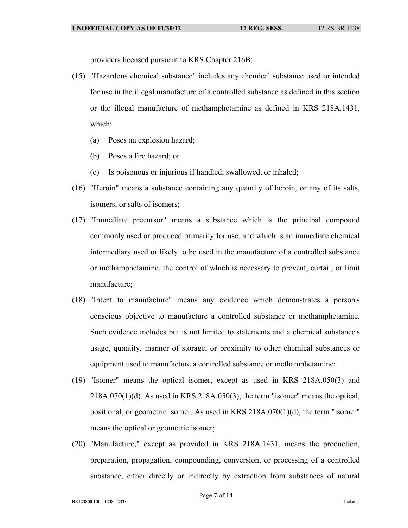providers licensed pursuant to KRS Chapter 216B;

- (15) "Hazardous chemical substance" includes any chemical substance used or intended for use in the illegal manufacture of a controlled substance as defined in this section or the illegal manufacture of methamphetamine as defined in KRS 218A.1431, which:
	- (a) Poses an explosion hazard;
	- (b) Poses a fire hazard; or
	- (c) Is poisonous or injurious if handled, swallowed, or inhaled;
- (16) "Heroin" means a substance containing any quantity of heroin, or any of its salts, isomers, or salts of isomers;
- (17) "Immediate precursor" means a substance which is the principal compound commonly used or produced primarily for use, and which is an immediate chemical intermediary used or likely to be used in the manufacture of a controlled substance or methamphetamine, the control of which is necessary to prevent, curtail, or limit manufacture;
- (18) "Intent to manufacture" means any evidence which demonstrates a person's conscious objective to manufacture a controlled substance or methamphetamine. Such evidence includes but is not limited to statements and a chemical substance's usage, quantity, manner of storage, or proximity to other chemical substances or equipment used to manufacture a controlled substance or methamphetamine;
- (19) "Isomer" means the optical isomer, except as used in KRS 218A.050(3) and  $218A.070(1)(d)$ . As used in KRS  $218A.050(3)$ , the term "isomer" means the optical, positional, or geometric isomer. As used in KRS 218A.070(1)(d), the term "isomer" means the optical or geometric isomer;
- (20) "Manufacture," except as provided in KRS 218A.1431, means the production, preparation, propagation, compounding, conversion, or processing of a controlled substance, either directly or indirectly by extraction from substances of natural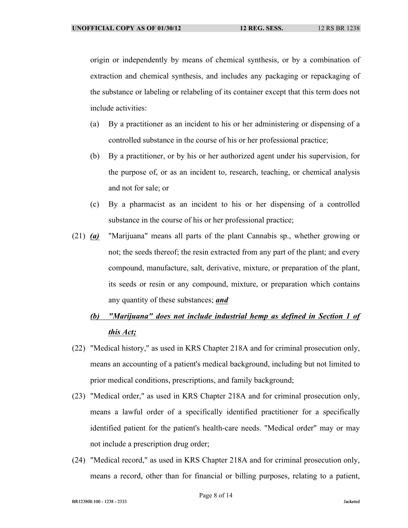origin or independently by means of chemical synthesis, or by a combination of extraction and chemical synthesis, and includes any packaging or repackaging of the substance or labeling or relabeling of its container except that this term does not include activities:

- (a) By a practitioner as an incident to his or her administering or dispensing of a controlled substance in the course of his or her professional practice;
- (b) By a practitioner, or by his or her authorized agent under his supervision, for the purpose of, or as an incident to, research, teaching, or chemical analysis and not for sale; or
- (c) By a pharmacist as an incident to his or her dispensing of a controlled substance in the course of his or her professional practice;
- (21) *(a)* "Marijuana" means all parts of the plant Cannabis sp., whether growing or not; the seeds thereof; the resin extracted from any part of the plant; and every compound, manufacture, salt, derivative, mixture, or preparation of the plant, its seeds or resin or any compound, mixture, or preparation which contains any quantity of these substances; *and*
	- *(b) "Marijuana" does not include industrial hemp as defined in Section 1 of this Act;*
- (22) "Medical history," as used in KRS Chapter 218A and for criminal prosecution only, means an accounting of a patient's medical background, including but not limited to prior medical conditions, prescriptions, and family background;
- (23) "Medical order," as used in KRS Chapter 218A and for criminal prosecution only, means a lawful order of a specifically identified practitioner for a specifically identified patient for the patient's health-care needs. "Medical order" may or may not include a prescription drug order;
- (24) "Medical record," as used in KRS Chapter 218A and for criminal prosecution only, means a record, other than for financial or billing purposes, relating to a patient,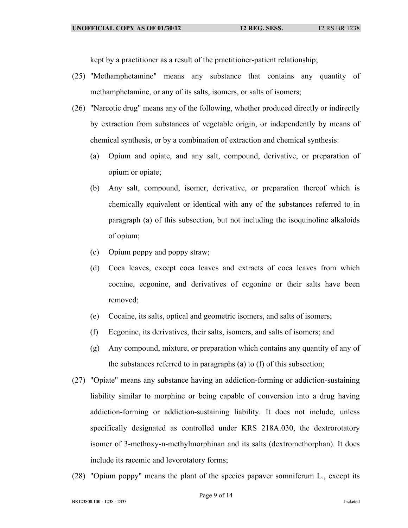kept by a practitioner as a result of the practitioner-patient relationship;

- (25) "Methamphetamine" means any substance that contains any quantity of methamphetamine, or any of its salts, isomers, or salts of isomers;
- (26) "Narcotic drug" means any of the following, whether produced directly or indirectly by extraction from substances of vegetable origin, or independently by means of chemical synthesis, or by a combination of extraction and chemical synthesis:
	- (a) Opium and opiate, and any salt, compound, derivative, or preparation of opium or opiate;
	- (b) Any salt, compound, isomer, derivative, or preparation thereof which is chemically equivalent or identical with any of the substances referred to in paragraph (a) of this subsection, but not including the isoquinoline alkaloids of opium;
	- (c) Opium poppy and poppy straw;
	- (d) Coca leaves, except coca leaves and extracts of coca leaves from which cocaine, ecgonine, and derivatives of ecgonine or their salts have been removed;
	- (e) Cocaine, its salts, optical and geometric isomers, and salts of isomers;
	- (f) Ecgonine, its derivatives, their salts, isomers, and salts of isomers; and
	- (g) Any compound, mixture, or preparation which contains any quantity of any of the substances referred to in paragraphs (a) to (f) of this subsection;
- (27) "Opiate" means any substance having an addiction-forming or addiction-sustaining liability similar to morphine or being capable of conversion into a drug having addiction-forming or addiction-sustaining liability. It does not include, unless specifically designated as controlled under KRS 218A.030, the dextrorotatory isomer of 3-methoxy-n-methylmorphinan and its salts (dextromethorphan). It does include its racemic and levorotatory forms;
- (28) "Opium poppy" means the plant of the species papaver somniferum L., except its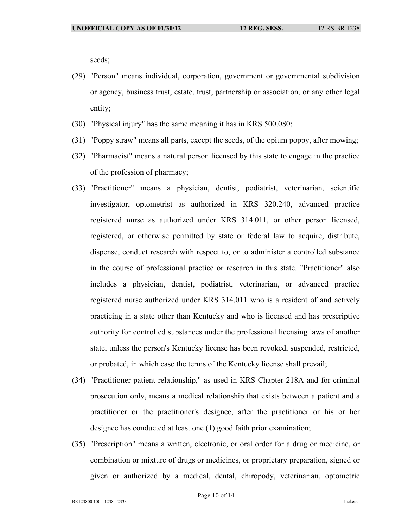seeds;

- (29) "Person" means individual, corporation, government or governmental subdivision or agency, business trust, estate, trust, partnership or association, or any other legal entity;
- (30) "Physical injury" has the same meaning it has in KRS 500.080;
- (31) "Poppy straw" means all parts, except the seeds, of the opium poppy, after mowing;
- (32) "Pharmacist" means a natural person licensed by this state to engage in the practice of the profession of pharmacy;
- (33) "Practitioner" means a physician, dentist, podiatrist, veterinarian, scientific investigator, optometrist as authorized in KRS 320.240, advanced practice registered nurse as authorized under KRS 314.011, or other person licensed, registered, or otherwise permitted by state or federal law to acquire, distribute, dispense, conduct research with respect to, or to administer a controlled substance in the course of professional practice or research in this state. "Practitioner" also includes a physician, dentist, podiatrist, veterinarian, or advanced practice registered nurse authorized under KRS 314.011 who is a resident of and actively practicing in a state other than Kentucky and who is licensed and has prescriptive authority for controlled substances under the professional licensing laws of another state, unless the person's Kentucky license has been revoked, suspended, restricted, or probated, in which case the terms of the Kentucky license shall prevail;
- (34) "Practitioner-patient relationship," as used in KRS Chapter 218A and for criminal prosecution only, means a medical relationship that exists between a patient and a practitioner or the practitioner's designee, after the practitioner or his or her designee has conducted at least one (1) good faith prior examination;
- (35) "Prescription" means a written, electronic, or oral order for a drug or medicine, or combination or mixture of drugs or medicines, or proprietary preparation, signed or given or authorized by a medical, dental, chiropody, veterinarian, optometric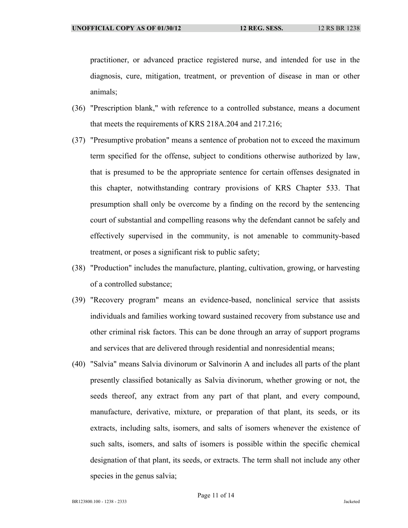practitioner, or advanced practice registered nurse, and intended for use in the diagnosis, cure, mitigation, treatment, or prevention of disease in man or other animals;

- (36) "Prescription blank," with reference to a controlled substance, means a document that meets the requirements of KRS 218A.204 and 217.216;
- (37) "Presumptive probation" means a sentence of probation not to exceed the maximum term specified for the offense, subject to conditions otherwise authorized by law, that is presumed to be the appropriate sentence for certain offenses designated in this chapter, notwithstanding contrary provisions of KRS Chapter 533. That presumption shall only be overcome by a finding on the record by the sentencing court of substantial and compelling reasons why the defendant cannot be safely and effectively supervised in the community, is not amenable to community-based treatment, or poses a significant risk to public safety;
- (38) "Production" includes the manufacture, planting, cultivation, growing, or harvesting of a controlled substance;
- (39) "Recovery program" means an evidence-based, nonclinical service that assists individuals and families working toward sustained recovery from substance use and other criminal risk factors. This can be done through an array of support programs and services that are delivered through residential and nonresidential means;
- (40) "Salvia" means Salvia divinorum or Salvinorin A and includes all parts of the plant presently classified botanically as Salvia divinorum, whether growing or not, the seeds thereof, any extract from any part of that plant, and every compound, manufacture, derivative, mixture, or preparation of that plant, its seeds, or its extracts, including salts, isomers, and salts of isomers whenever the existence of such salts, isomers, and salts of isomers is possible within the specific chemical designation of that plant, its seeds, or extracts. The term shall not include any other species in the genus salvia;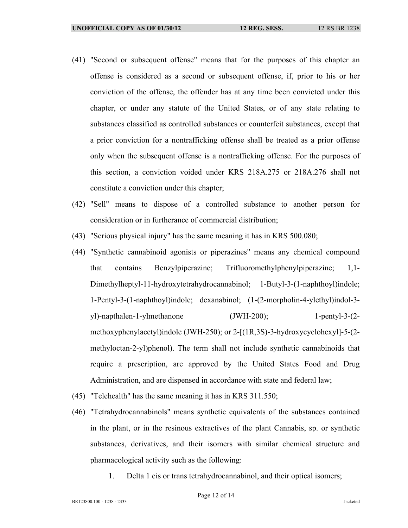- (41) "Second or subsequent offense" means that for the purposes of this chapter an offense is considered as a second or subsequent offense, if, prior to his or her conviction of the offense, the offender has at any time been convicted under this chapter, or under any statute of the United States, or of any state relating to substances classified as controlled substances or counterfeit substances, except that a prior conviction for a nontrafficking offense shall be treated as a prior offense only when the subsequent offense is a nontrafficking offense. For the purposes of this section, a conviction voided under KRS 218A.275 or 218A.276 shall not constitute a conviction under this chapter;
- (42) "Sell" means to dispose of a controlled substance to another person for consideration or in furtherance of commercial distribution;
- (43) "Serious physical injury" has the same meaning it has in KRS 500.080;
- (44) "Synthetic cannabinoid agonists or piperazines" means any chemical compound that contains Benzylpiperazine; Trifluoromethylphenylpiperazine; 1,1- Dimethylheptyl-11-hydroxytetrahydrocannabinol; 1-Butyl-3-(1-naphthoyl)indole; 1-Pentyl-3-(1-naphthoyl)indole; dexanabinol; (1-(2-morpholin-4-ylethyl)indol-3 yl)-napthalen-1-ylmethanone (JWH-200); 1-pentyl-3-(2 methoxyphenylacetyl)indole (JWH-250); or 2-[(1R,3S)-3-hydroxycyclohexyl]-5-(2 methyloctan-2-yl)phenol). The term shall not include synthetic cannabinoids that require a prescription, are approved by the United States Food and Drug Administration, and are dispensed in accordance with state and federal law;
- (45) "Telehealth" has the same meaning it has in KRS 311.550;
- (46) "Tetrahydrocannabinols" means synthetic equivalents of the substances contained in the plant, or in the resinous extractives of the plant Cannabis, sp. or synthetic substances, derivatives, and their isomers with similar chemical structure and pharmacological activity such as the following:
	- 1. Delta 1 cis or trans tetrahydrocannabinol, and their optical isomers;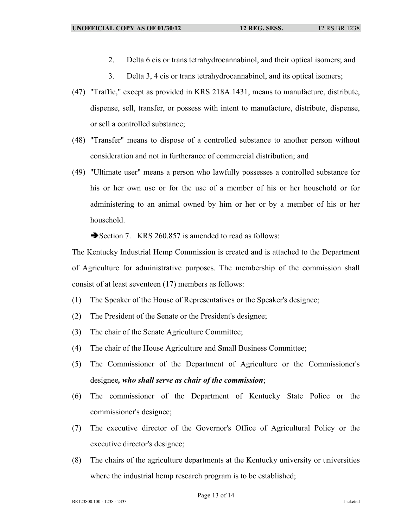- 2. Delta 6 cis or trans tetrahydrocannabinol, and their optical isomers; and
- 3. Delta 3, 4 cis or trans tetrahydrocannabinol, and its optical isomers;
- (47) "Traffic," except as provided in KRS 218A.1431, means to manufacture, distribute, dispense, sell, transfer, or possess with intent to manufacture, distribute, dispense, or sell a controlled substance;
- (48) "Transfer" means to dispose of a controlled substance to another person without consideration and not in furtherance of commercial distribution; and
- (49) "Ultimate user" means a person who lawfully possesses a controlled substance for his or her own use or for the use of a member of his or her household or for administering to an animal owned by him or her or by a member of his or her household.
	- $\rightarrow$  Section 7. KRS 260.857 is amended to read as follows:

The Kentucky Industrial Hemp Commission is created and is attached to the Department of Agriculture for administrative purposes. The membership of the commission shall consist of at least seventeen (17) members as follows:

- (1) The Speaker of the House of Representatives or the Speaker's designee;
- (2) The President of the Senate or the President's designee;
- (3) The chair of the Senate Agriculture Committee;
- (4) The chair of the House Agriculture and Small Business Committee;
- (5) The Commissioner of the Department of Agriculture or the Commissioner's designee*, who shall serve as chair of the commission*;
- (6) The commissioner of the Department of Kentucky State Police or the commissioner's designee;
- (7) The executive director of the Governor's Office of Agricultural Policy or the executive director's designee;
- (8) The chairs of the agriculture departments at the Kentucky university or universities where the industrial hemp research program is to be established;